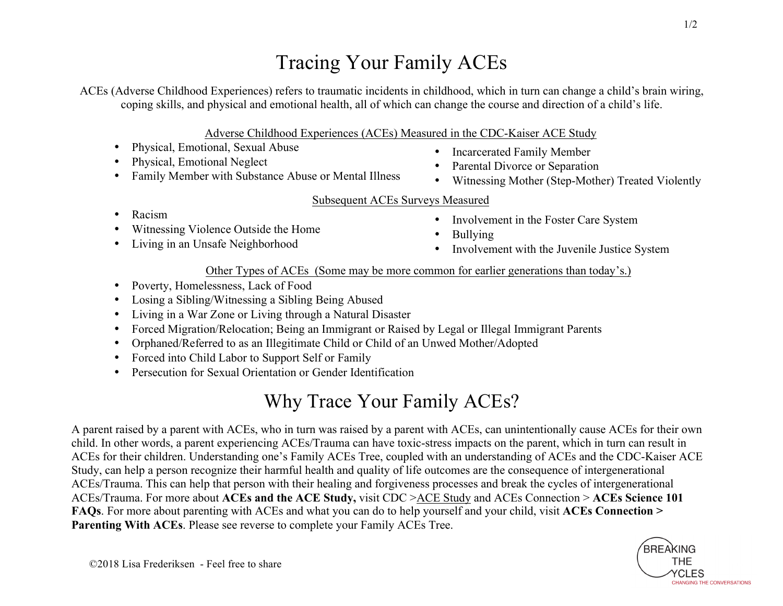## Tracing Your Family ACEs

ACEs (Adverse Childhood Experiences) refers to traumatic incidents in childhood, which in turn can change a child's brain wiring, coping skills, and physical and emotional health, all of which can change the course and direction of a child's life.

Adverse Childhood Experiences (ACEs) Measured in the CDC-Kaiser ACE Study

- Physical, Emotional, Sexual Abuse
- Physical, Emotional Neglect
- Family Member with Substance Abuse or Mental Illness
- Incarcerated Family Member
- Parental Divorce or Separation
- Witnessing Mother (Step-Mother) Treated Violently

## Subsequent ACEs Surveys Measured

- Racism
- Witnessing Violence Outside the Home
- Living in an Unsafe Neighborhood
- Involvement in the Foster Care System
- **Bullying**
- Involvement with the Juvenile Justice System

## Other Types of ACEs (Some may be more common for earlier generations than today's.)

- Poverty, Homelessness, Lack of Food
- Losing a Sibling/Witnessing a Sibling Being Abused
- Living in a War Zone or Living through a Natural Disaster
- Forced Migration/Relocation; Being an Immigrant or Raised by Legal or Illegal Immigrant Parents
- Orphaned/Referred to as an Illegitimate Child or Child of an Unwed Mother/Adopted
- Forced into Child Labor to Support Self or Family
- Persecution for Sexual Orientation or Gender Identification

## Why Trace Your Family ACEs?

A parent raised by a parent with ACEs, who in turn was raised by a parent with ACEs, can unintentionally cause ACEs for their own child. In other words, a parent experiencing ACEs/Trauma can have toxic-stress impacts on the parent, which in turn can result in ACEs for their children. Understanding one's Family ACEs Tree, coupled with an understanding of ACEs and the CDC-Kaiser ACE Study, can help a person recognize their harmful health and quality of life outcomes are the consequence of intergenerational ACEs/Trauma. This can help that person with their healing and forgiveness processes and break the cycles of intergenerational ACEs/Trauma. For more about **ACEs and the ACE Study,** visit CDC >ACE Study and ACEs Connection > **ACEs Science 101 FAQs**. For more about parenting with ACEs and what you can do to help yourself and your child, visit **ACEs Connection > Parenting With ACEs**. Please see reverse to complete your Family ACEs Tree.